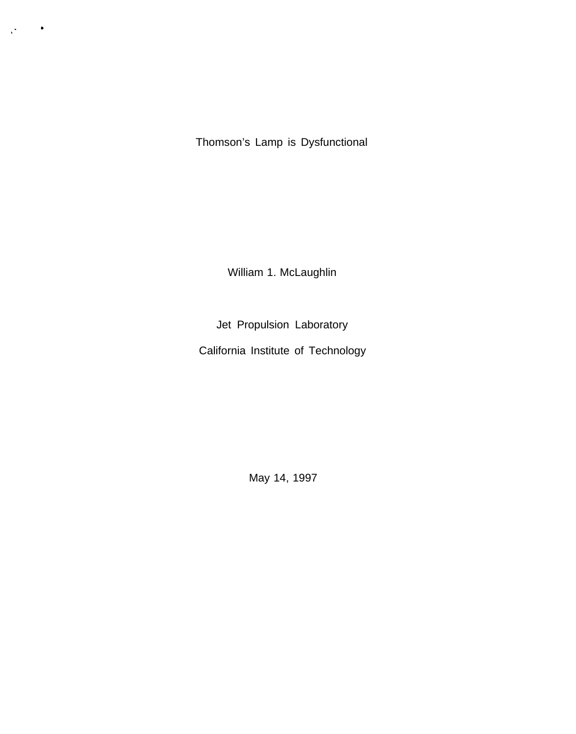Thomson's Lamp is Dysfunctional

. ,"

William 1. McLaughlin

Jet Propulsion Laboratory

California Institute of Technology

May 14, 1997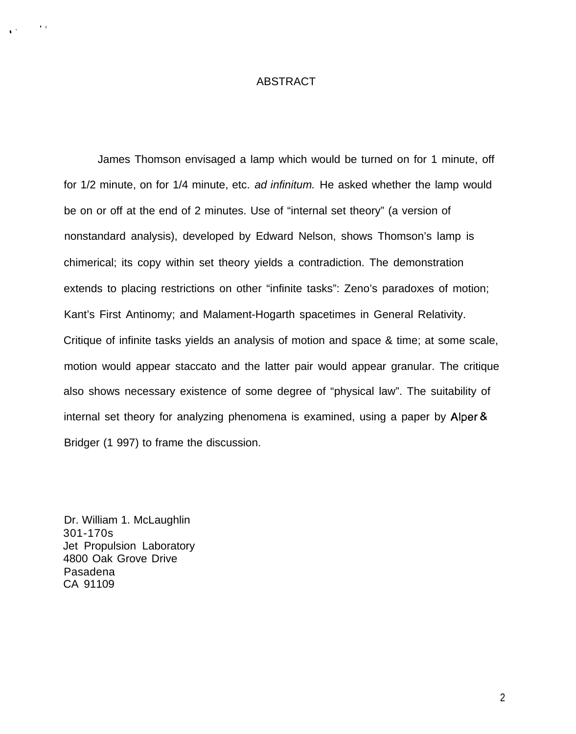### ABSTRACT

James Thomson envisaged a lamp which would be turned on for 1 minute, off for 1/2 minute, on for 1/4 minute, etc. ad infinitum. He asked whether the lamp would be on or off at the end of 2 minutes. Use of "internal set theory" (a version of nonstandard analysis), developed by Edward Nelson, shows Thomson's lamp is chimerical; its copy within set theory yields a contradiction. The demonstration extends to placing restrictions on other "infinite tasks": Zeno's paradoxes of motion; Kant's First Antinomy; and Malament-Hogarth spacetimes in General Relativity. Critique of infinite tasks yields an analysis of motion and space & time; at some scale, motion would appear staccato and the latter pair would appear granular. The critique also shows necessary existence of some degree of "physical law". The suitability of internal set theory for analyzing phenomena is examined, using a paper by Alper & Bridger (1 997) to frame the discussion.

Dr. William 1. McLaughlin 301-170s Jet Propulsion Laboratory 4800 Oak Grove Drive Pasadena CA 91109

 $\lambda$  ,  $\lambda$ 

,.

2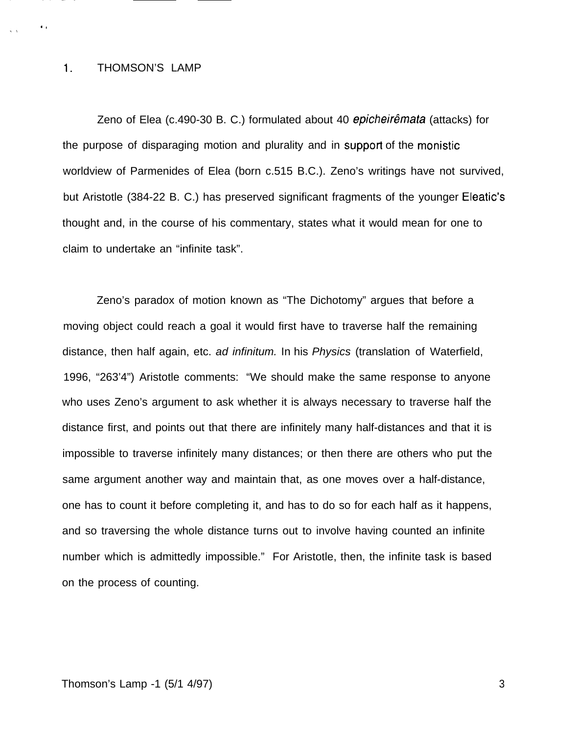#### 1. THOMSON'S LAMP

 $\ddot{\phantom{a}}$ 

Zeno of Elea (c.490-30 B. C.) formulated about 40 epicheirêmata (attacks) for the purpose of disparaging motion and plurality and in support of the monistic worldview of Parmenides of Elea (born c.515 B.C.). Zeno's writings have not survived, but Aristotle (384-22 B. C.) has preserved significant fragments of the younger Eleatic's thought and, in the course of his commentary, states what it would mean for one to claim to undertake an "infinite task".

Zeno's paradox of motion known as "The Dichotomy" argues that before a moving object could reach a goal it would first have to traverse half the remaining distance, then half again, etc. ad infinitum. In his Physics (translation of Waterfield, 1996, "263'4") Aristotle comments: "We should make the same response to anyone who uses Zeno's argument to ask whether it is always necessary to traverse half the distance first, and points out that there are infinitely many half-distances and that it is impossible to traverse infinitely many distances; or then there are others who put the same argument another way and maintain that, as one moves over a half-distance, one has to count it before completing it, and has to do so for each half as it happens, and so traversing the whole distance turns out to involve having counted an infinite number which is admittedly impossible." For Aristotle, then, the infinite task is based on the process of counting.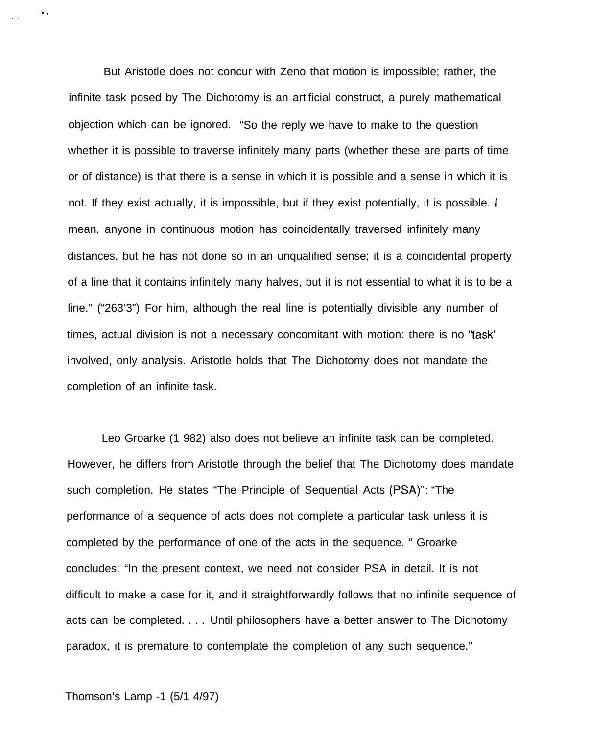But Aristotle does not concur with Zeno that motion is impossible; rather, the infinite task posed by The Dichotomy is an artificial construct, a purely mathematical objection which can be ignored. "So the reply we have to make to the question whether it is possible to traverse infinitely many parts (whether these are parts of time or of distance) is that there is a sense in which it is possible and a sense in which it is not. If they exist actually, it is impossible, but if they exist potentially, it is possible. I mean, anyone in continuous motion has coincidentally traversed infinitely many distances, but he has not done so in an unqualified sense; it is a coincidental property of a line that it contains infinitely many halves, but it is not essential to what it is to be a line." ("263'3") For him, although the real line is potentially divisible any number of times, actual division is not a necessary concomitant with motion: there is no "task" involved, only analysis. Aristotle holds that The Dichotomy does not mandate the completion of an infinite task.

Leo Groarke (1 982) also does not believe an infinite task can be completed. However, he differs from Aristotle through the belief that The Dichotomy does mandate such completion. He states "The Principle of Sequential Acts (PSA)": "The performance of a sequence of acts does not complete a particular task unless it is completed by the performance of one of the acts in the sequence. " Groarke concludes: "In the present context, we need not consider PSA in detail. It is not difficult to make a case for it, and it straightforwardly follows that no infinite sequence of acts can be completed. . . . Until philosophers have a better answer to The Dichotomy paradox, it is premature to contemplate the completion of any such sequence."

### Thomson's Lamp -1 (5/1 4/97)

 $\bullet$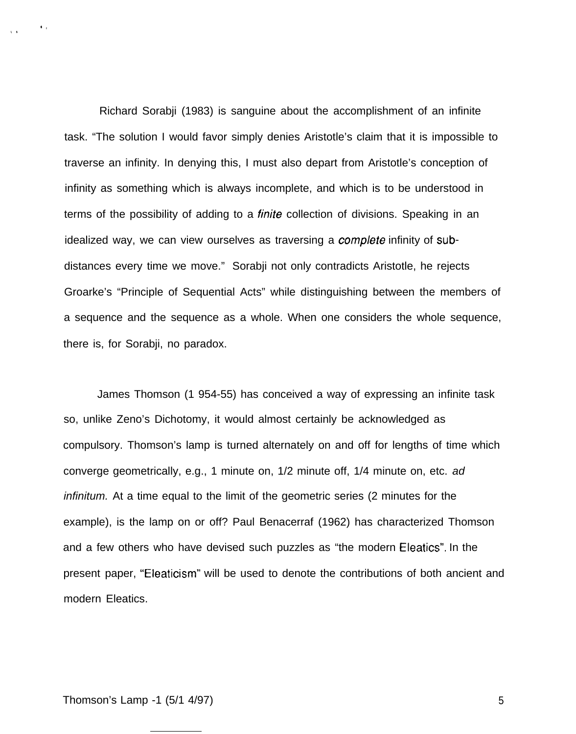Richard Sorabji (1983) is sanguine about the accomplishment of an infinite task. "The solution I would favor simply denies Aristotle's claim that it is impossible to traverse an infinity. In denying this, I must also depart from Aristotle's conception of infinity as something which is always incomplete, and which is to be understood in terms of the possibility of adding to a *finite* collection of divisions. Speaking in an idealized way, we can view ourselves as traversing a *complete* infinity of subdistances every time we move." Sorabji not only contradicts Aristotle, he rejects Groarke's "Principle of Sequential Acts" while distinguishing between the members of a sequence and the sequence as a whole. When one considers the whole sequence, there is, for Sorabji, no paradox.

James Thomson (1 954-55) has conceived a way of expressing an infinite task so, unlike Zeno's Dichotomy, it would almost certainly be acknowledged as compulsory. Thomson's lamp is turned alternately on and off for lengths of time which converge geometrically, e.g., 1 minute on, 1/2 minute off, 1/4 minute on, etc. ad infinitum. At a time equal to the limit of the geometric series (2 minutes for the example), is the lamp on or off? Paul Benacerraf (1962) has characterized Thomson and a few others who have devised such puzzles as "the modern Eleatics". In the present paper, "Eleaticism" will be used to denote the contributions of both ancient and modern Eleatics.

Thomson's Lamp -1 (5/1 4/97) 5

 $\mathbf{C}_1$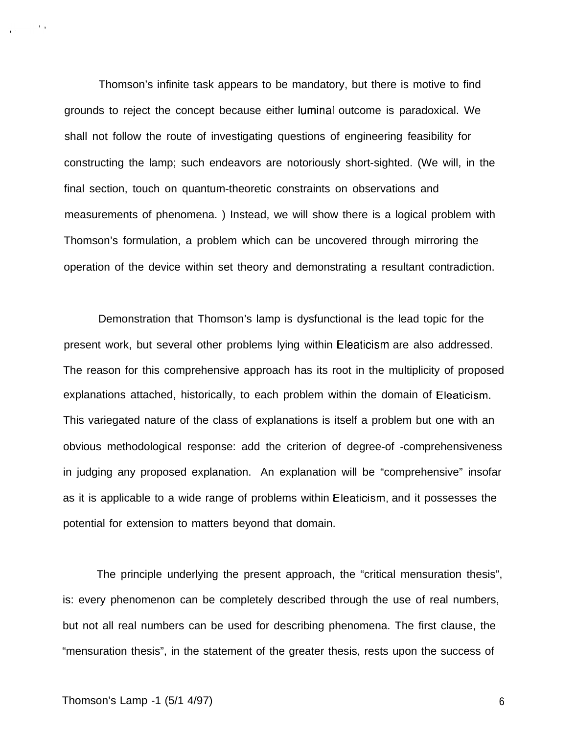Thomson's infinite task appears to be mandatory, but there is motive to find grounds to reject the concept because either Iuminal outcome is paradoxical. We shall not follow the route of investigating questions of engineering feasibility for constructing the lamp; such endeavors are notoriously short-sighted. (We will, in the final section, touch on quantum-theoretic constraints on observations and measurements of phenomena. ) Instead, we will show there is a logical problem with Thomson's formulation, a problem which can be uncovered through mirroring the operation of the device within set theory and demonstrating a resultant contradiction.

Demonstration that Thomson's lamp is dysfunctional is the lead topic for the present work, but several other problems lying within Eleaticism are also addressed. The reason for this comprehensive approach has its root in the multiplicity of proposed explanations attached, historically, to each problem within the domain of Eleaticism. This variegated nature of the class of explanations is itself a problem but one with an obvious methodological response: add the criterion of degree-of -comprehensiveness in judging any proposed explanation. An explanation will be "comprehensive" insofar as it is applicable to a wide range of problems within Eleaticism, and it possesses the potential for extension to matters beyond that domain.

The principle underlying the present approach, the "critical mensuration thesis", is: every phenomenon can be completely described through the use of real numbers, but not all real numbers can be used for describing phenomena. The first clause, the "mensuration thesis", in the statement of the greater thesis, rests upon the success of

 $\mathbf{r}$  .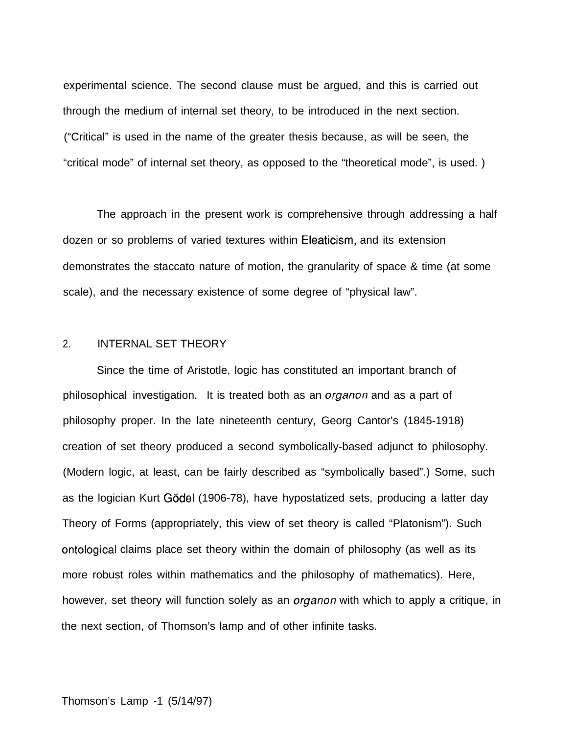experimental science. The second clause must be argued, and this is carried out through the medium of internal set theory, to be introduced in the next section. ("Critical" is used in the name of the greater thesis because, as will be seen, the "critical mode" of internal set theory, as opposed to the "theoretical mode", is used. )

The approach in the present work is comprehensive through addressing a half dozen or so problems of varied textures within Eleaticism, and its extension demonstrates the staccato nature of motion, the granularity of space & time (at some scale), and the necessary existence of some degree of "physical law".

# 2. INTERNAL SET THEORY

Since the time of Aristotle, logic has constituted an important branch of philosophical investigation. It is treated both as an *organon* and as a part of philosophy proper. In the late nineteenth century, Georg Cantor's (1845-1918) creation of set theory produced a second symbolically-based adjunct to philosophy. (Modern logic, at least, can be fairly described as "symbolically based".) Some, such as the logician Kurt Gödel (1906-78), have hypostatized sets, producing a latter day Theory of Forms (appropriately, this view of set theory is called "Platonism"). Such ontological claims place set theory within the domain of philosophy (as well as its more robust roles within mathematics and the philosophy of mathematics). Here, however, set theory will function solely as an *organon* with which to apply a critique, in the next section, of Thomson's lamp and of other infinite tasks.

### Thomson's Lamp -1 (5/14/97)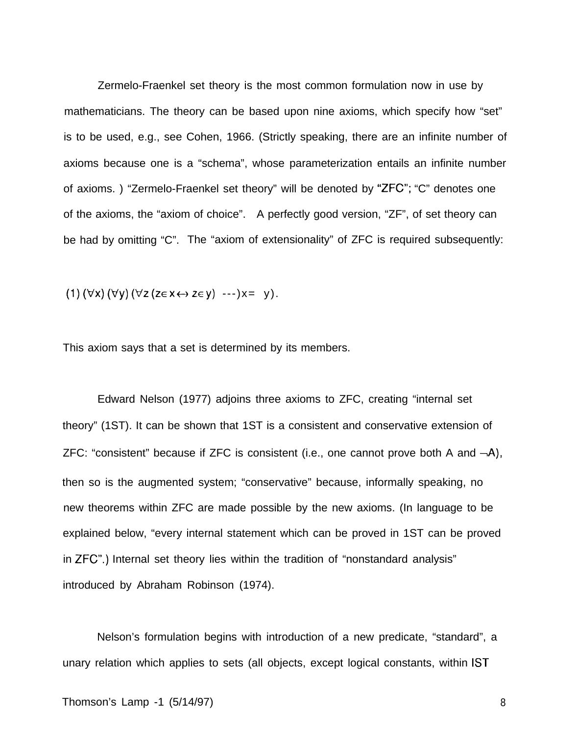Zermelo-Fraenkel set theory is the most common formulation now in use by mathematicians. The theory can be based upon nine axioms, which specify how "set" is to be used, e.g., see Cohen, 1966. (Strictly speaking, there are an infinite number of axioms because one is a "schema", whose parameterization entails an infinite number of axioms. ) "Zermelo-Fraenkel set theory" will be denoted by "ZFC"; "C" denotes one of the axioms, the "axiom of choice". A perfectly good version, "ZF", of set theory can be had by omitting "C". The "axiom of extensionality" of ZFC is required subsequently:

(1)  $(\forall x)$   $(\forall y)$   $(\forall z$   $(z \in x \leftrightarrow z \in y)$  ---) $x = y)$ .

This axiom says that a set is determined by its members.

Edward Nelson (1977) adjoins three axioms to ZFC, creating "internal set theory" (1ST). It can be shown that 1ST is a consistent and conservative extension of ZFC: "consistent" because if ZFC is consistent (i.e., one cannot prove both A and  $\neg A$ ), then so is the augmented system; "conservative" because, informally speaking, no new theorems within ZFC are made possible by the new axioms. (In language to be explained below, "every internal statement which can be proved in 1ST can be proved in ZFC".) Internal set theory lies within the tradition of "nonstandard analysis" introduced by Abraham Robinson (1974).

Nelson's formulation begins with introduction of a new predicate, "standard", a unary relation which applies to sets (all objects, except logical constants, within 1ST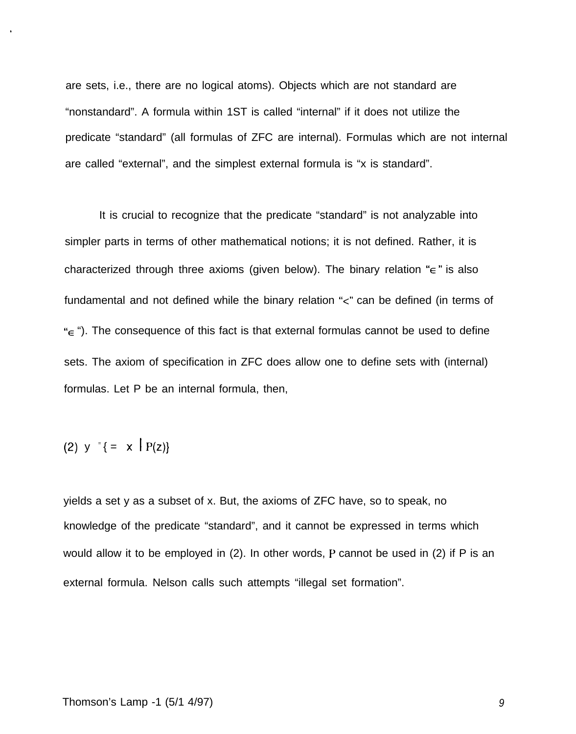are sets, i.e., there are no logical atoms). Objects which are not standard are "nonstandard". A formula within 1ST is called "internal" if it does not utilize the predicate "standard" (all formulas of ZFC are internal). Formulas which are not internal are called "external", and the simplest external formula is "x is standard".

It is crucial to recognize that the predicate "standard" is not analyzable into simpler parts in terms of other mathematical notions; it is not defined. Rather, it is characterized through three axioms (given below). The binary relation " $\epsilon$ " is also fundamental and not defined while the binary relation "<" can be defined (in terms of  $E^* \in \mathcal{L}$ ). The consequence of this fact is that external formulas cannot be used to define sets. The axiom of specification in ZFC does allow one to define sets with (internal) formulas. Let P be an internal formula, then,

(2) 
$$
y = \{ = x | P(z) \}
$$

yields a set y as a subset of x. But, the axioms of ZFC have, so to speak, no knowledge of the predicate "standard", and it cannot be expressed in terms which would allow it to be employed in (2). In other words, P cannot be used in (2) if P is an external formula. Nelson calls such attempts "illegal set formation".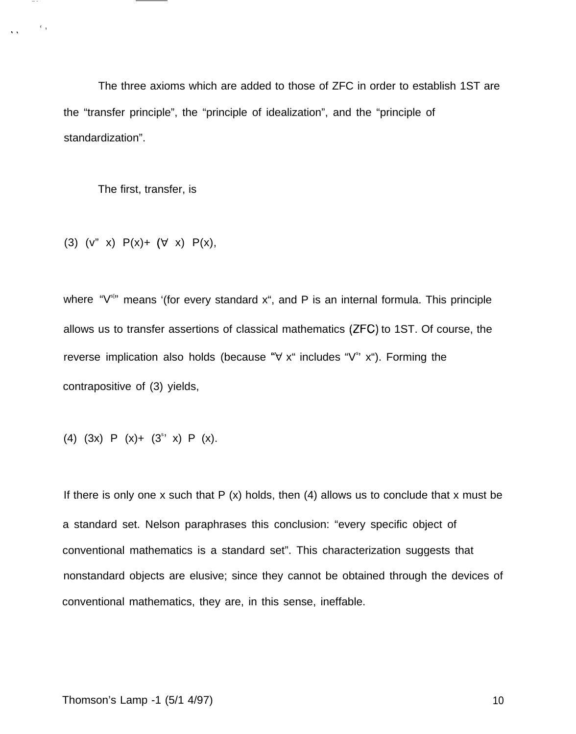The three axioms which are added to those of ZFC in order to establish 1ST are the "transfer principle", the "principle of idealization", and the "principle of standardization".

The first, transfer, is

 $\sim 0.4$ 

(3)  $(v'' \ x) P(x) + (\forall x) P(x)$ ,

where " $V^{\text{sim}}$  means '(for every standard x", and P is an internal formula. This principle allows us to transfer assertions of classical mathematics (ZFC) to 1ST. Of course, the reverse implication also holds (because " $\forall$  x" includes " $V^s$ " x"). Forming the contrapositive of (3) yields,

(4) 
$$
(3x)
$$
 P  $(x)+ (3s·x)$  P  $(x)$ .

If there is only one x such that  $P(x)$  holds, then (4) allows us to conclude that x must be a standard set. Nelson paraphrases this conclusion: "every specific object of conventional mathematics is a standard set". This characterization suggests that nonstandard objects are elusive; since they cannot be obtained through the devices of conventional mathematics, they are, in this sense, ineffable.

## Thomson's Lamp -1 (5/1 4/97) 10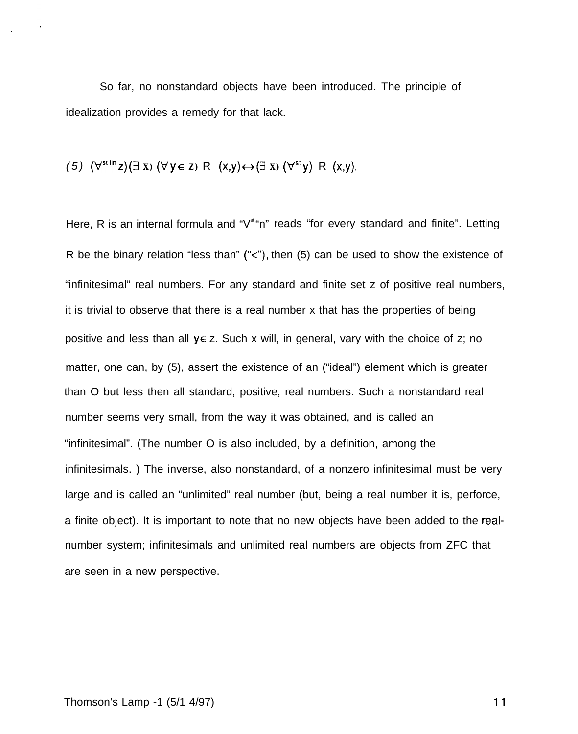So far, no nonstandard objects have been introduced. The principle of idealization provides a remedy for that lack.

(5) 
$$
(\forall^{\text{st fin}} z)(\exists x) (\forall y \in z) \land (x,y) \leftrightarrow (\exists x) (\forall^{\text{st}} y) \land (x,y)
$$
.

Here, R is an internal formula and "V<sup>st</sup>"n" reads "for every standard and finite". Letting R be the binary relation "less than" ("<"), then (5) can be used to show the existence of "infinitesimal" real numbers. For any standard and finite set z of positive real numbers, it is trivial to observe that there is a real number x that has the properties of being positive and less than all  $y \in z$ . Such x will, in general, vary with the choice of z; no matter, one can, by (5), assert the existence of an ("ideal") element which is greater than O but less then all standard, positive, real numbers. Such a nonstandard real number seems very small, from the way it was obtained, and is called an "infinitesimal". (The number O is also included, by a definition, among the infinitesimals. ) The inverse, also nonstandard, of a nonzero infinitesimal must be very large and is called an "unlimited" real number (but, being a real number it is, perforce, a finite object). It is important to note that no new objects have been added to the realnumber system; infinitesimals and unlimited real numbers are objects from ZFC that are seen in a new perspective.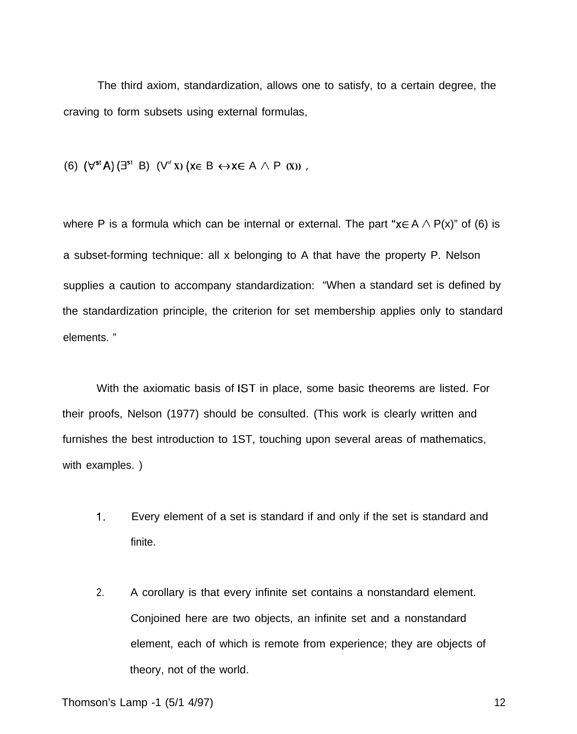The third axiom, standardization, allows one to satisfy, to a certain degree, the craving to form subsets using external formulas,

(6)  $(\forall^{st} A) (\exists^{st} B) (\forall^{st} x) (x \in B \leftrightarrow x \in A \land P (x))$ ,

where P is a formula which can be internal or external. The part " $x \in A \wedge P(x)$ " of (6) is a subset-forming technique: all x belonging to A that have the property P. Nelson supplies a caution to accompany standardization: "When a standard set is defined by the standardization principle, the criterion for set membership applies only to standard elements. "

With the axiomatic basis of 1ST in place, some basic theorems are listed. For their proofs, Nelson (1977) should be consulted. (This work is clearly written and furnishes the best introduction to 1ST, touching upon several areas of mathematics, with examples. )

- 1. Every element of a set is standard if and only if the set is standard and finite.
- 2. A corollary is that every infinite set contains a nonstandard element. Conjoined here are two objects, an infinite set and a nonstandard element, each of which is remote from experience; they are objects of theory, not of the world.

Thomson's Lamp -1 (5/1 4/97) 12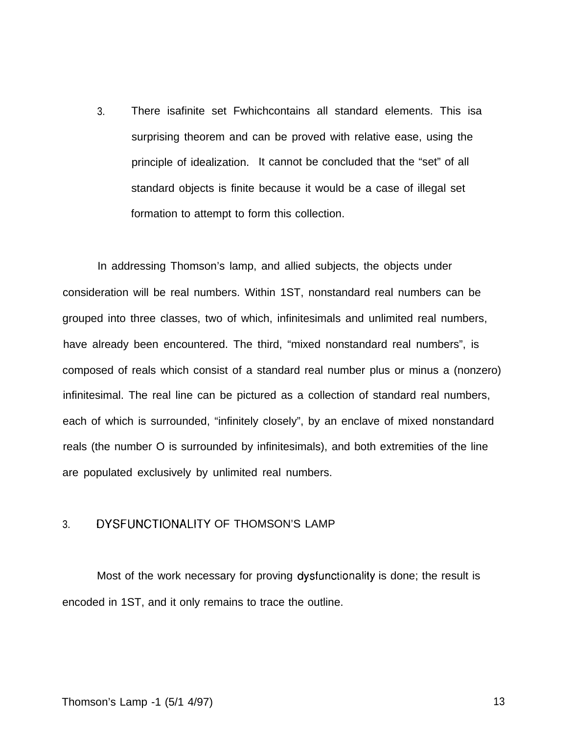3. There isafinite set Fwhichcontains all standard elements. This isa surprising theorem and can be proved with relative ease, using the principle of idealization. It cannot be concluded that the "set" of all standard objects is finite because it would be a case of illegal set formation to attempt to form this collection.

In addressing Thomson's lamp, and allied subjects, the objects under consideration will be real numbers. Within 1ST, nonstandard real numbers can be grouped into three classes, two of which, infinitesimals and unlimited real numbers, have already been encountered. The third, "mixed nonstandard real numbers", is composed of reals which consist of a standard real number plus or minus a (nonzero) infinitesimal. The real line can be pictured as a collection of standard real numbers, each of which is surrounded, "infinitely closely", by an enclave of mixed nonstandard reals (the number O is surrounded by infinitesimals), and both extremities of the line are populated exclusively by unlimited real numbers.

# 3. DYSFUNCTIONALITY OF THOMSON'S LAMP

Most of the work necessary for proving dysfunctionality is done; the result is encoded in 1ST, and it only remains to trace the outline.

### Thomson's Lamp -1 (5/1 4/97) 13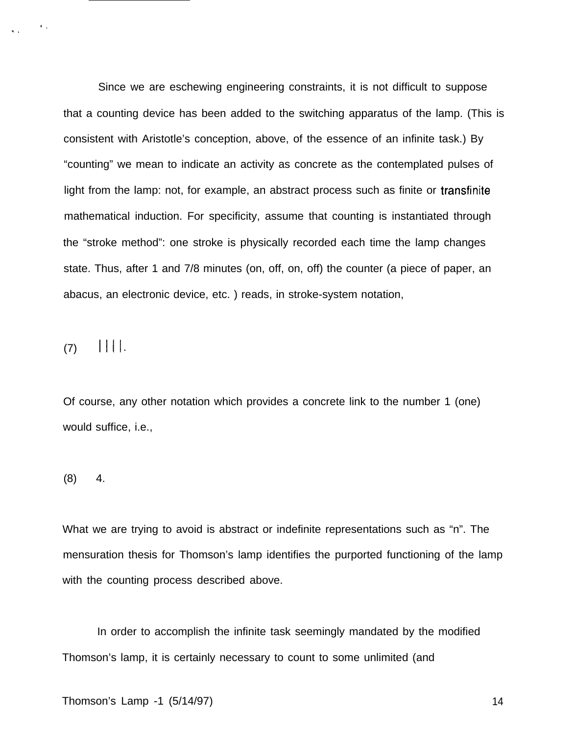Since we are eschewing engineering constraints, it is not difficult to suppose that a counting device has been added to the switching apparatus of the lamp. (This is consistent with Aristotle's conception, above, of the essence of an infinite task.) By "counting" we mean to indicate an activity as concrete as the contemplated pulses of light from the lamp: not, for example, an abstract process such as finite or transfinite mathematical induction. For specificity, assume that counting is instantiated through the "stroke method": one stroke is physically recorded each time the lamp changes state. Thus, after 1 and 7/8 minutes (on, off, on, off) the counter (a piece of paper, an abacus, an electronic device, etc. ) reads, in stroke-system notation,

 $(7)$  ||||.

 $\bullet$  ,

Of course, any other notation which provides a concrete link to the number 1 (one) would suffice, i.e.,

 $(8)$  4.

What we are trying to avoid is abstract or indefinite representations such as "n". The mensuration thesis for Thomson's lamp identifies the purported functioning of the lamp with the counting process described above.

In order to accomplish the infinite task seemingly mandated by the modified Thomson's lamp, it is certainly necessary to count to some unlimited (and

Thomson's Lamp -1 (5/14/97) 14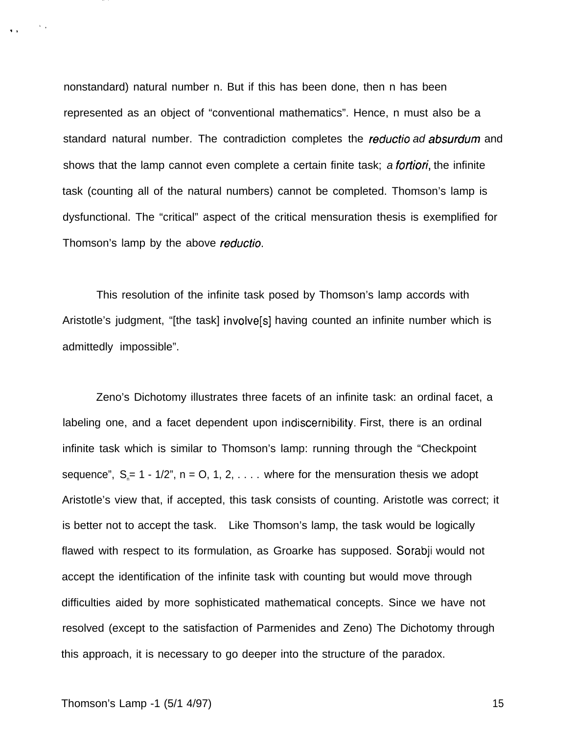nonstandard) natural number n. But if this has been done, then n has been represented as an object of "conventional mathematics". Hence, n must also be a standard natural number. The contradiction completes the reductio ad absurdum and shows that the lamp cannot even complete a certain finite task; a *fortiori*, the infinite task (counting all of the natural numbers) cannot be completed. Thomson's lamp is dysfunctional. The "critical" aspect of the critical mensuration thesis is exemplified for Thomson's lamp by the above reductio.

This resolution of the infinite task posed by Thomson's lamp accords with Aristotle's judgment, "[the task] involve[s] having counted an infinite number which is admittedly impossible".

Zeno's Dichotomy illustrates three facets of an infinite task: an ordinal facet, a labeling one, and a facet dependent upon indiscernibility. First, there is an ordinal infinite task which is similar to Thomson's lamp: running through the "Checkpoint sequence",  $S_n = 1 - 1/2$ ",  $n = 0, 1, 2, \ldots$  where for the mensuration thesis we adopt Aristotle's view that, if accepted, this task consists of counting. Aristotle was correct; it is better not to accept the task. Like Thomson's lamp, the task would be logically flawed with respect to its formulation, as Groarke has supposed. Sorabji would not accept the identification of the infinite task with counting but would move through difficulties aided by more sophisticated mathematical concepts. Since we have not resolved (except to the satisfaction of Parmenides and Zeno) The Dichotomy through this approach, it is necessary to go deeper into the structure of the paradox.

## Thomson's Lamp -1 (5/1 4/97) 15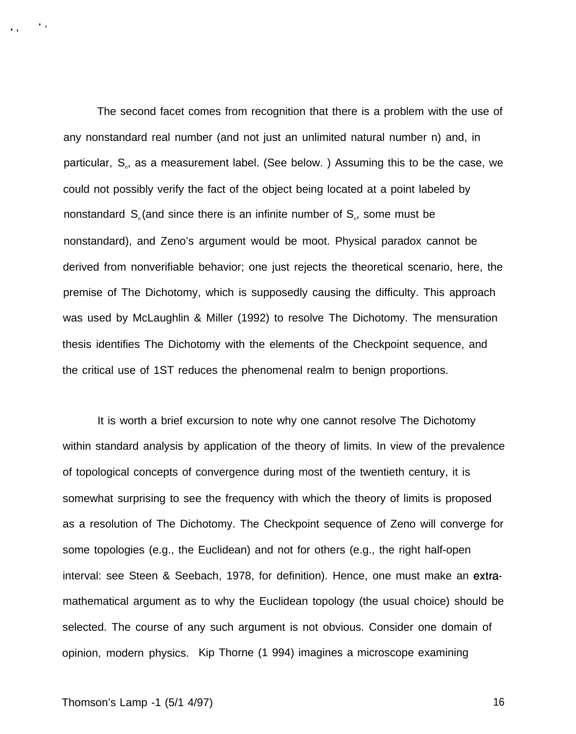The second facet comes from recognition that there is a problem with the use of any nonstandard real number (and not just an unlimited natural number n) and, in particular, S<sub>n</sub>, as a measurement label. (See below.) Assuming this to be the case, we could not possibly verify the fact of the object being located at a point labeled by nonstandard  $S_{\scriptscriptstyle n}$  (and since there is an infinite number of  $S_{\scriptscriptstyle n}$ , some must be nonstandard), and Zeno's argument would be moot. Physical paradox cannot be derived from nonverifiable behavior; one just rejects the theoretical scenario, here, the premise of The Dichotomy, which is supposedly causing the difficulty. This approach was used by McLaughlin & Miller (1992) to resolve The Dichotomy. The mensuration thesis identifies The Dichotomy with the elements of the Checkpoint sequence, and the critical use of 1ST reduces the phenomenal realm to benign proportions.

It is worth a brief excursion to note why one cannot resolve The Dichotomy within standard analysis by application of the theory of limits. In view of the prevalence of topological concepts of convergence during most of the twentieth century, it is somewhat surprising to see the frequency with which the theory of limits is proposed as a resolution of The Dichotomy. The Checkpoint sequence of Zeno will converge for some topologies (e.g., the Euclidean) and not for others (e.g., the right half-open interval: see Steen & Seebach, 1978, for definition). Hence, one must make an extramathematical argument as to why the Euclidean topology (the usual choice) should be selected. The course of any such argument is not obvious. Consider one domain of opinion, modern physics. Kip Thorne (1 994) imagines a microscope examining

## Thomson's Lamp -1 (5/1 4/97) 16

,)

\$,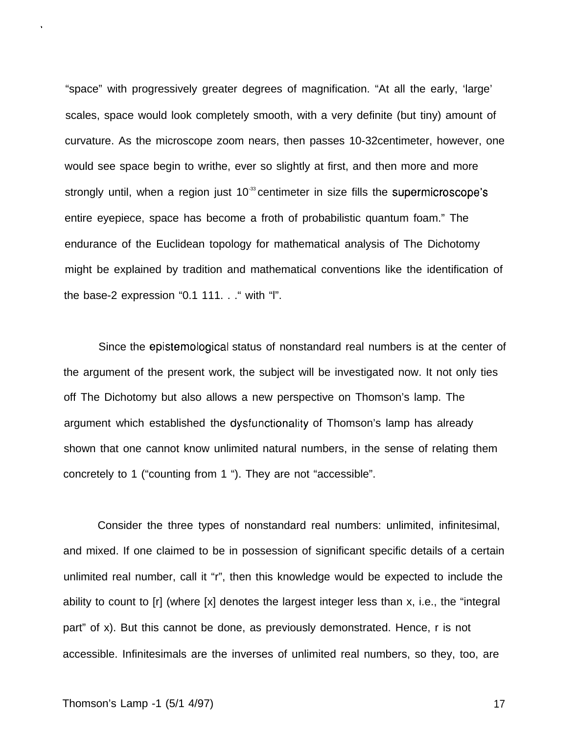"space" with progressively greater degrees of magnification. "At all the early, 'large' scales, space would look completely smooth, with a very definite (but tiny) amount of curvature. As the microscope zoom nears, then passes 10-32centimeter, however, one would see space begin to writhe, ever so slightly at first, and then more and more strongly until, when a region just  $10<sup>33</sup>$  centimeter in size fills the supermicroscope's entire eyepiece, space has become a froth of probabilistic quantum foam." The endurance of the Euclidean topology for mathematical analysis of The Dichotomy might be explained by tradition and mathematical conventions like the identification of the base-2 expression "0.1 111. . ." with "l".

Since the epistemological status of nonstandard real numbers is at the center of the argument of the present work, the subject will be investigated now. It not only ties off The Dichotomy but also allows a new perspective on Thomson's lamp. The argument which established the dysfunctionality of Thomson's lamp has already shown that one cannot know unlimited natural numbers, in the sense of relating them concretely to 1 ("counting from 1 "). They are not "accessible".

Consider the three types of nonstandard real numbers: unlimited, infinitesimal, and mixed. If one claimed to be in possession of significant specific details of a certain unlimited real number, call it "r", then this knowledge would be expected to include the ability to count to [r] (where [x] denotes the largest integer less than x, i.e., the "integral part" of x). But this cannot be done, as previously demonstrated. Hence, r is not accessible. Infinitesimals are the inverses of unlimited real numbers, so they, too, are

## Thomson's Lamp -1 (5/1 4/97) 17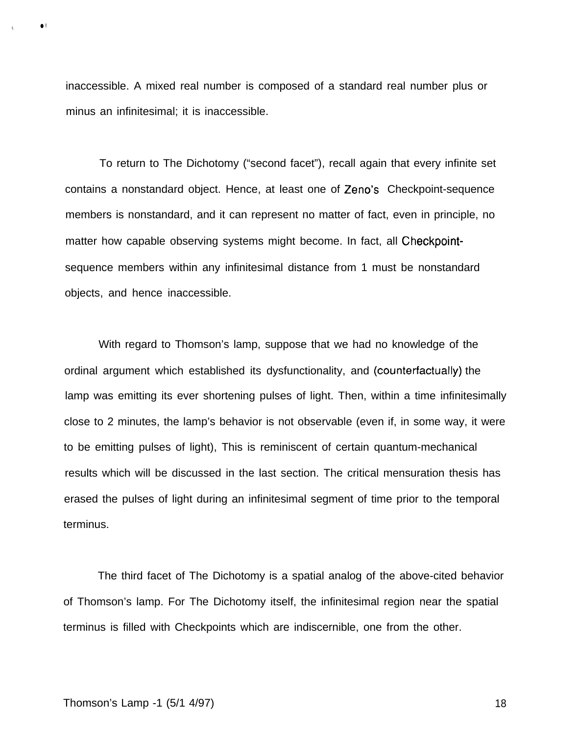inaccessible. A mixed real number is composed of a standard real number plus or minus an infinitesimal; it is inaccessible.

To return to The Dichotomy ("second facet"), recall again that every infinite set contains a nonstandard object. Hence, at least one of Zeno's Checkpoint-sequence members is nonstandard, and it can represent no matter of fact, even in principle, no matter how capable observing systems might become. In fact, all Checkpointsequence members within any infinitesimal distance from 1 must be nonstandard objects, and hence inaccessible.

With regard to Thomson's lamp, suppose that we had no knowledge of the ordinal argument which established its dysfunctionality, and (counterfactually) the lamp was emitting its ever shortening pulses of light. Then, within a time infinitesimally close to 2 minutes, the lamp's behavior is not observable (even if, in some way, it were to be emitting pulses of light), This is reminiscent of certain quantum-mechanical results which will be discussed in the last section. The critical mensuration thesis has erased the pulses of light during an infinitesimal segment of time prior to the temporal terminus.

The third facet of The Dichotomy is a spatial analog of the above-cited behavior of Thomson's lamp. For The Dichotomy itself, the infinitesimal region near the spatial terminus is filled with Checkpoints which are indiscernible, one from the other.

● ✌

✎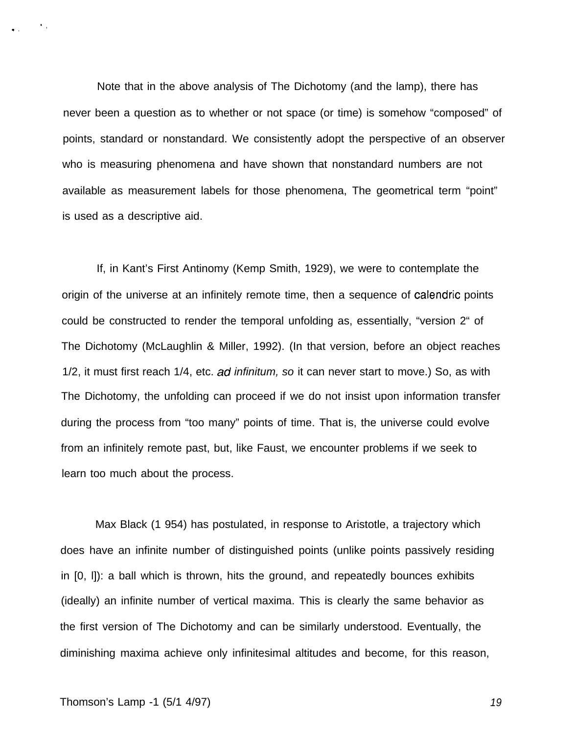Note that in the above analysis of The Dichotomy (and the lamp), there has never been a question as to whether or not space (or time) is somehow "composed" of points, standard or nonstandard. We consistently adopt the perspective of an observer who is measuring phenomena and have shown that nonstandard numbers are not available as measurement labels for those phenomena, The geometrical term "point" is used as a descriptive aid.

If, in Kant's First Antinomy (Kemp Smith, 1929), we were to contemplate the origin of the universe at an infinitely remote time, then a sequence of calendric points could be constructed to render the temporal unfolding as, essentially, "version 2" of The Dichotomy (McLaughlin & Miller, 1992). (In that version, before an object reaches 1/2, it must first reach 1/4, etc. ad infinitum, so it can never start to move.) So, as with The Dichotomy, the unfolding can proceed if we do not insist upon information transfer during the process from "too many" points of time. That is, the universe could evolve from an infinitely remote past, but, like Faust, we encounter problems if we seek to learn too much about the process.

Max Black (1 954) has postulated, in response to Aristotle, a trajectory which does have an infinite number of distinguished points (unlike points passively residing in [0, l]): a ball which is thrown, hits the ground, and repeatedly bounces exhibits (ideally) an infinite number of vertical maxima. This is clearly the same behavior as the first version of The Dichotomy and can be similarly understood. Eventually, the diminishing maxima achieve only infinitesimal altitudes and become, for this reason,

,,

.,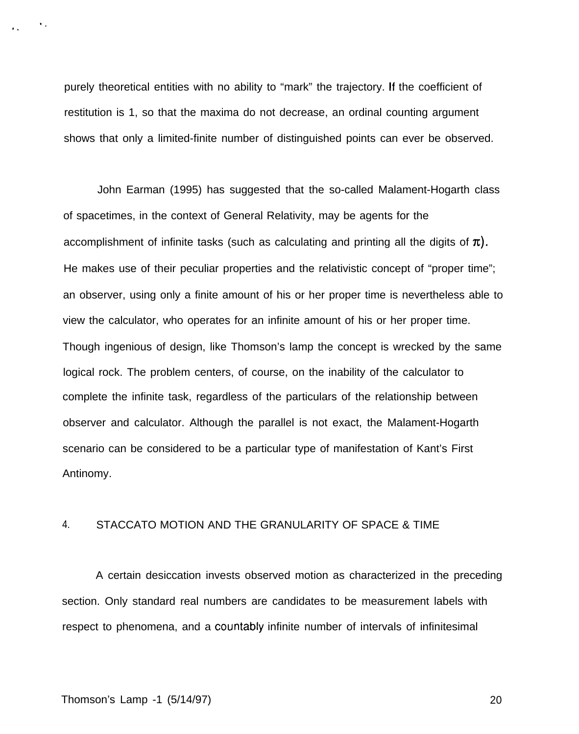purely theoretical entities with no ability to "mark" the trajectory. [f the coefficient of restitution is 1, so that the maxima do not decrease, an ordinal counting argument shows that only a limited-finite number of distinguished points can ever be observed.

John Earman (1995) has suggested that the so-called Malament-Hogarth class of spacetimes, in the context of General Relativity, may be agents for the accomplishment of infinite tasks (such as calculating and printing all the digits of  $\pi$ ). He makes use of their peculiar properties and the relativistic concept of "proper time"; an observer, using only a finite amount of his or her proper time is nevertheless able to view the calculator, who operates for an infinite amount of his or her proper time. Though ingenious of design, like Thomson's lamp the concept is wrecked by the same logical rock. The problem centers, of course, on the inability of the calculator to complete the infinite task, regardless of the particulars of the relationship between observer and calculator. Although the parallel is not exact, the Malament-Hogarth scenario can be considered to be a particular type of manifestation of Kant's First Antinomy.

# 4. STACCATO MOTION AND THE GRANULARITY OF SPACE & TIME

A certain desiccation invests observed motion as characterized in the preceding section. Only standard real numbers are candidates to be measurement labels with respect to phenomena, and a countably infinite number of intervals of infinitesimal

#### Thomson's Lamp -1 (5/14/97) 20

 $\mathbf{v}_i$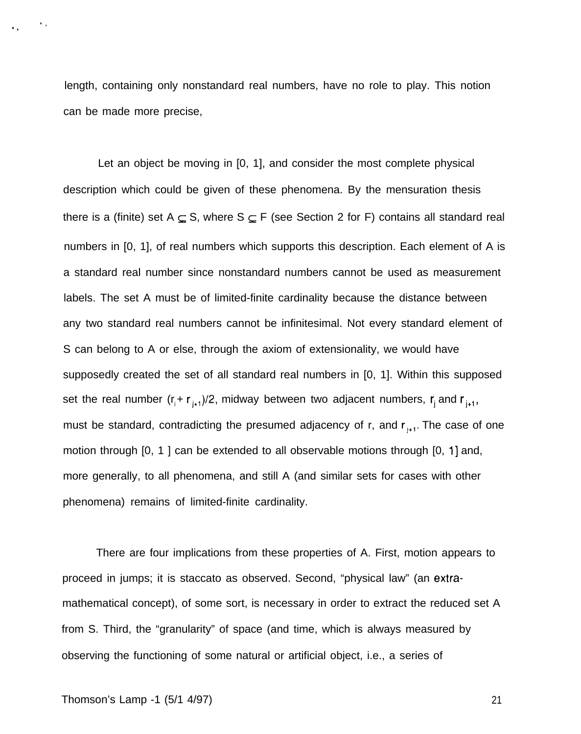length, containing only nonstandard real numbers, have no role to play. This notion can be made more precise,

Let an object be moving in [0, 1], and consider the most complete physical description which could be given of these phenomena. By the mensuration thesis there is a (finite) set  $A \subseteq S$ , where  $S \subseteq F$  (see Section 2 for F) contains all standard real numbers in [0, 1], of real numbers which supports this description. Each element of A is a standard real number since nonstandard numbers cannot be used as measurement labels. The set A must be of limited-finite cardinality because the distance between any two standard real numbers cannot be infinitesimal. Not every standard element of S can belong to A or else, through the axiom of extensionality, we would have supposedly created the set of all standard real numbers in [0, 1]. Within this supposed set the real number  $(r_j + r_{j+1})/2$ , midway between two adjacent numbers,  $r_j$  and  $r_{j+1}$ , must be standard, contradicting the presumed adjacency of r, and  $r_{+1}$ . The case of one motion through [0, 1 ] can be extended to all observable motions through [0, 1] and, more generally, to all phenomena, and still A (and similar sets for cases with other phenomena) remains of limited-finite cardinality.

There are four implications from these properties of A. First, motion appears to proceed in jumps; it is staccato as observed. Second, "physical law" (an extramathematical concept), of some sort, is necessary in order to extract the reduced set A from S. Third, the "granularity" of space (and time, which is always measured by observing the functioning of some natural or artificial object, i.e., a series of

 $\mathbf{v}_{\rm{in}}$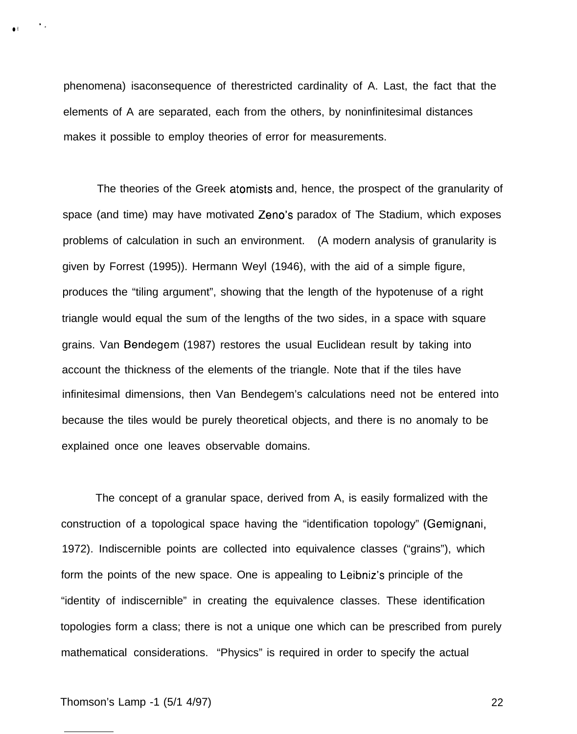phenomena) isaconsequence of therestricted cardinality of A. Last, the fact that the elements of A are separated, each from the others, by noninfinitesimal distances makes it possible to employ theories of error for measurements.

The theories of the Greek atomists and, hence, the prospect of the granularity of space (and time) may have motivated Zeno's paradox of The Stadium, which exposes problems of calculation in such an environment. (A modern analysis of granularity is given by Forrest (1995)). Hermann Weyl (1946), with the aid of a simple figure, produces the "tiling argument", showing that the length of the hypotenuse of a right triangle would equal the sum of the lengths of the two sides, in a space with square grains. Van Bendegem (1987) restores the usual Euclidean result by taking into account the thickness of the elements of the triangle. Note that if the tiles have infinitesimal dimensions, then Van Bendegem's calculations need not be entered into because the tiles would be purely theoretical objects, and there is no anomaly to be explained once one leaves observable domains.

The concept of a granular space, derived from A, is easily formalized with the construction of a topological space having the "identification topology" (Gemignani, 1972). Indiscernible points are collected into equivalence classes ("grains"), which form the points of the new space. One is appealing to Leibniz's principle of the "identity of indiscernible" in creating the equivalence classes. These identification topologies form a class; there is not a unique one which can be prescribed from purely mathematical considerations. "Physics" is required in order to specify the actual

 $\bullet$   $\bullet$   $\bullet$   $\bullet$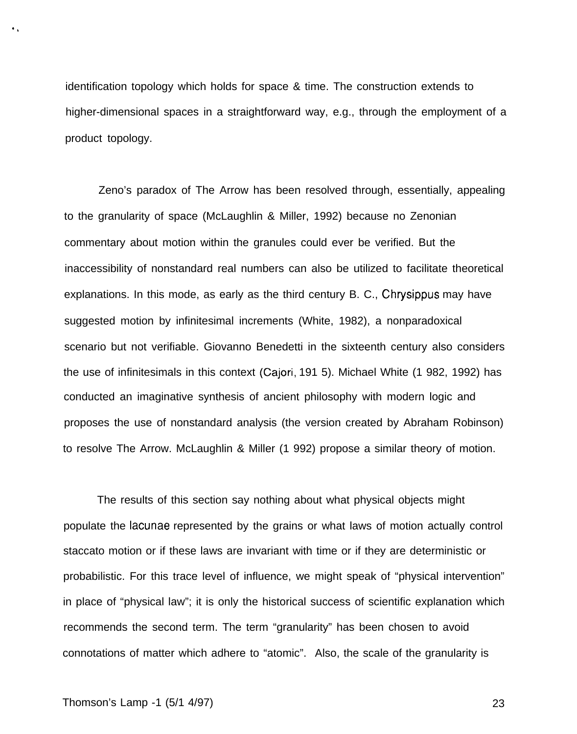identification topology which holds for space & time. The construction extends to higher-dimensional spaces in a straightforward way, e.g., through the employment of a product topology.

Zeno's paradox of The Arrow has been resolved through, essentially, appealing to the granularity of space (McLaughlin & Miller, 1992) because no Zenonian commentary about motion within the granules could ever be verified. But the inaccessibility of nonstandard real numbers can also be utilized to facilitate theoretical explanations. In this mode, as early as the third century B. C., Chrysippus may have suggested motion by infinitesimal increments (White, 1982), a nonparadoxical scenario but not verifiable. Giovanno Benedetti in the sixteenth century also considers the use of infinitesimals in this context (Cajori, 191 5). Michael White (1 982, 1992) has conducted an imaginative synthesis of ancient philosophy with modern logic and proposes the use of nonstandard analysis (the version created by Abraham Robinson) to resolve The Arrow. McLaughlin & Miller (1 992) propose a similar theory of motion.

The results of this section say nothing about what physical objects might populate the Iacunae represented by the grains or what laws of motion actually control staccato motion or if these laws are invariant with time or if they are deterministic or probabilistic. For this trace level of influence, we might speak of "physical intervention" in place of "physical law"; it is only the historical success of scientific explanation which recommends the second term. The term "granularity" has been chosen to avoid connotations of matter which adhere to "atomic". Also, the scale of the granularity is

### Thomson's Lamp -1 (5/1 4/97) 23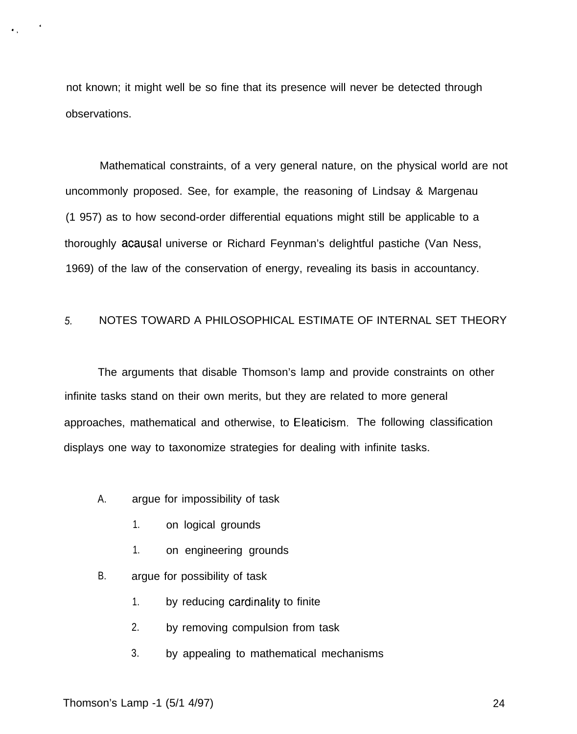not known; it might well be so fine that its presence will never be detected through observations.

Mathematical constraints, of a very general nature, on the physical world are not uncommonly proposed. See, for example, the reasoning of Lindsay & Margenau (1 957) as to how second-order differential equations might still be applicable to a thoroughly acausal universe or Richard Feynman's delightful pastiche (Van Ness, 1969) of the law of the conservation of energy, revealing its basis in accountancy.

# 5. NOTES TOWARD A PHILOSOPHICAL ESTIMATE OF INTERNAL SET THEORY

The arguments that disable Thomson's lamp and provide constraints on other infinite tasks stand on their own merits, but they are related to more general approaches, mathematical and otherwise, to Eleaticism. The following classification displays one way to taxonomize strategies for dealing with infinite tasks.

- A. argue for impossibility of task
	- 1. on logical grounds
	- 1. on engineering grounds
- B. argue for possibility of task
	- 1. by reducing cardinality to finite
	- 2. by removing compulsion from task
	- 3. by appealing to mathematical mechanisms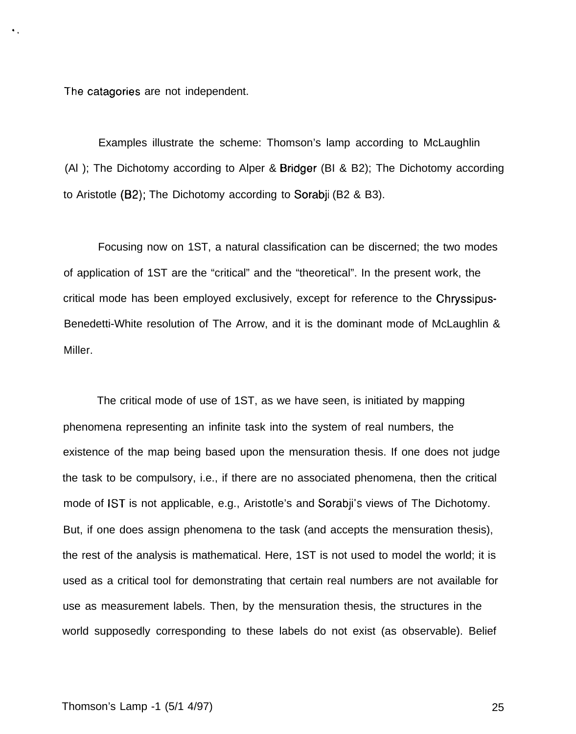The catagories are not independent.

 $\bullet$  .

Examples illustrate the scheme: Thomson's lamp according to McLaughlin (Al ); The Dichotomy according to Alper & Bridger (BI & B2); The Dichotomy according to Aristotle (B2); The Dichotomy according to Sorabji (B2 & B3).

Focusing now on 1ST, a natural classification can be discerned; the two modes of application of 1ST are the "critical" and the "theoretical". In the present work, the critical mode has been employed exclusively, except for reference to the Chryssipus-Benedetti-White resolution of The Arrow, and it is the dominant mode of McLaughlin & Miller.

The critical mode of use of 1ST, as we have seen, is initiated by mapping phenomena representing an infinite task into the system of real numbers, the existence of the map being based upon the mensuration thesis. If one does not judge the task to be compulsory, i.e., if there are no associated phenomena, then the critical mode of 1ST is not applicable, e.g., Aristotle's and Sorabji's views of The Dichotomy. But, if one does assign phenomena to the task (and accepts the mensuration thesis), the rest of the analysis is mathematical. Here, 1ST is not used to model the world; it is used as a critical tool for demonstrating that certain real numbers are not available for use as measurement labels. Then, by the mensuration thesis, the structures in the world supposedly corresponding to these labels do not exist (as observable). Belief

### Thomson's Lamp -1 (5/1 4/97) 25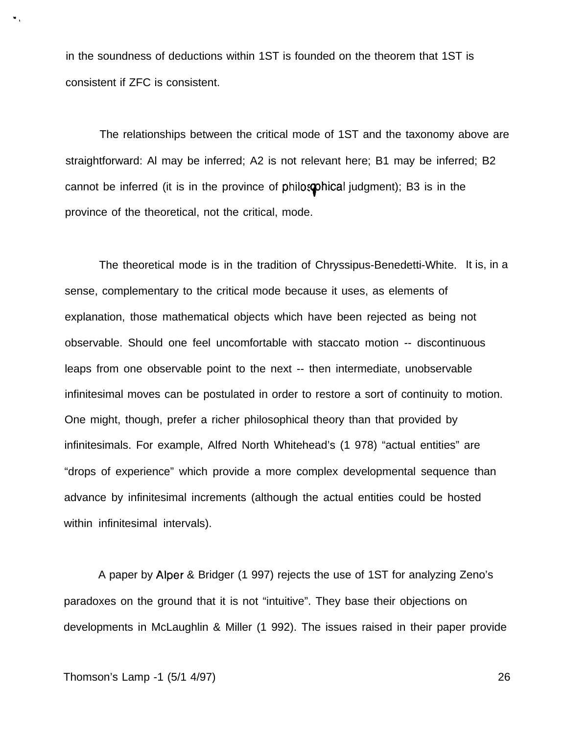in the soundness of deductions within 1ST is founded on the theorem that 1ST is consistent if ZFC is consistent.

The relationships between the critical mode of 1ST and the taxonomy above are straightforward: Al may be inferred; A2 is not relevant here; B1 may be inferred; B2 cannot be inferred (it is in the province of philosophical judgment); B3 is in the province of the theoretical, not the critical, mode.

The theoretical mode is in the tradition of Chryssipus-Benedetti-White. It is, in a sense, complementary to the critical mode because it uses, as elements of explanation, those mathematical objects which have been rejected as being not observable. Should one feel uncomfortable with staccato motion -- discontinuous leaps from one observable point to the next -- then intermediate, unobservable infinitesimal moves can be postulated in order to restore a sort of continuity to motion. One might, though, prefer a richer philosophical theory than that provided by infinitesimals. For example, Alfred North Whitehead's (1 978) "actual entities" are "drops of experience" which provide a more complex developmental sequence than advance by infinitesimal increments (although the actual entities could be hosted within infinitesimal intervals).

A paper by Alper & Bridger (1 997) rejects the use of 1ST for analyzing Zeno's paradoxes on the ground that it is not "intuitive". They base their objections on developments in McLaughlin & Miller (1 992). The issues raised in their paper provide

",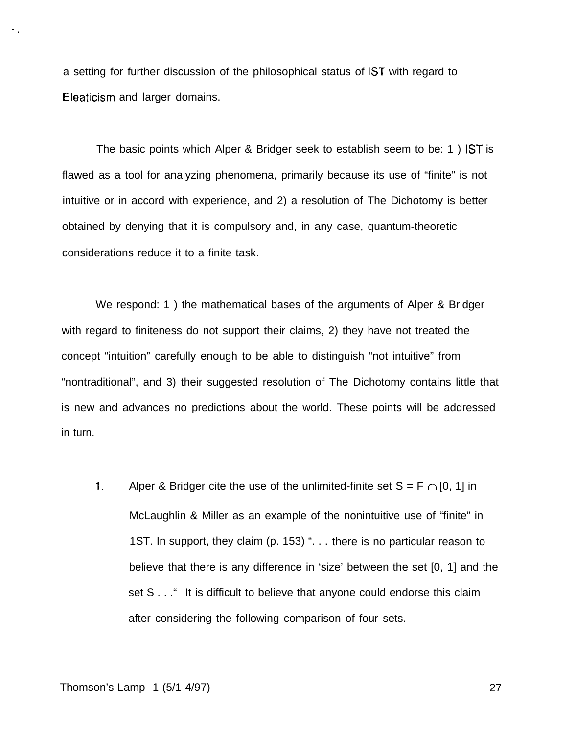a setting for further discussion of the philosophical status of 1ST with regard to Eleaticism and larger domains.

The basic points which Alper & Bridger seek to establish seem to be: 1 ) 1ST is flawed as a tool for analyzing phenomena, primarily because its use of "finite" is not intuitive or in accord with experience, and 2) a resolution of The Dichotomy is better obtained by denying that it is compulsory and, in any case, quantum-theoretic considerations reduce it to a finite task.

We respond: 1 ) the mathematical bases of the arguments of Alper & Bridger with regard to finiteness do not support their claims, 2) they have not treated the concept "intuition" carefully enough to be able to distinguish "not intuitive" from "nontraditional", and 3) their suggested resolution of The Dichotomy contains little that is new and advances no predictions about the world. These points will be addressed in turn.

1. Alper & Bridger cite the use of the unlimited-finite set  $S = F \cap [0, 1]$  in McLaughlin & Miller as an example of the nonintuitive use of "finite" in 1ST. In support, they claim (p. 153) ". . . there is no particular reason to believe that there is any difference in 'size' between the set [0, 1] and the set S . . . <sup>"</sup> It is difficult to believe that anyone could endorse this claim after considering the following comparison of four sets.

'.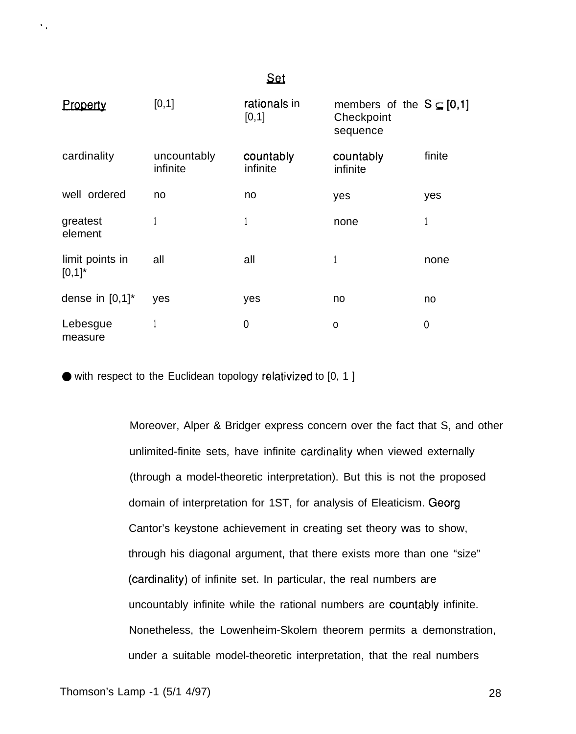| Property                     | [0,1]                   | rationals in<br>[0,1] | members of the $S \subseteq [0,1]$<br>Checkpoint<br>sequence |        |
|------------------------------|-------------------------|-----------------------|--------------------------------------------------------------|--------|
| cardinality                  | uncountably<br>infinite | countably<br>infinite | countably<br>infinite                                        | finite |
| well ordered                 | no                      | no                    | yes                                                          | yes    |
| greatest<br>element          |                         | 1                     | none                                                         |        |
| limit points in<br>$[0,1]$ * | all                     | all                   |                                                              | none   |
| dense in $[0,1]^*$           | yes                     | yes                   | no                                                           | no     |
| Lebesgue<br>measure          |                         | 0                     | $\mathsf{o}$                                                 | 0      |

Set

● with respect to the Euclidean topology relativized to [0, 1 ]

Moreover, Alper & Bridger express concern over the fact that S, and other unlimited-finite sets, have infinite cardinality when viewed externally (through a model-theoretic interpretation). But this is not the proposed domain of interpretation for 1ST, for analysis of Eleaticism. Georg Cantor's keystone achievement in creating set theory was to show, through his diagonal argument, that there exists more than one "size" (cardinality) of infinite set. In particular, the real numbers are uncountably infinite while the rational numbers are countably infinite. Nonetheless, the Lowenheim-Skolem theorem permits a demonstration, under a suitable model-theoretic interpretation, that the real numbers

 $\ddot{\phantom{a}}$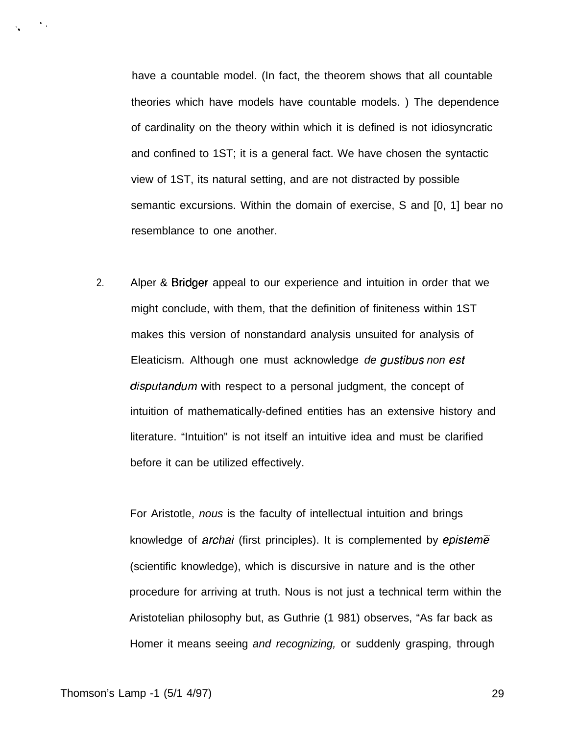have a countable model. (In fact, the theorem shows that all countable theories which have models have countable models. ) The dependence of cardinality on the theory within which it is defined is not idiosyncratic and confined to 1ST; it is a general fact. We have chosen the syntactic view of 1ST, its natural setting, and are not distracted by possible semantic excursions. Within the domain of exercise, S and [0, 1] bear no resemblance to one another.

2. Alper & Bridger appeal to our experience and intuition in order that we might conclude, with them, that the definition of finiteness within 1ST makes this version of nonstandard analysis unsuited for analysis of Eleaticism. Although one must acknowledge de gustibus non est disputandum with respect to a personal judgment, the concept of intuition of mathematically-defined entities has an extensive history and literature. "Intuition" is not itself an intuitive idea and must be clarified before it can be utilized effectively.

For Aristotle, nous is the faculty of intellectual intuition and brings knowledge of *archai* (first principles). It is complemented by *episteme* (scientific knowledge), which is discursive in nature and is the other procedure for arriving at truth. Nous is not just a technical term within the Aristotelian philosophy but, as Guthrie (1 981) observes, "As far back as Homer it means seeing and recognizing, or suddenly grasping, through

 $\ddot{\phantom{1}}$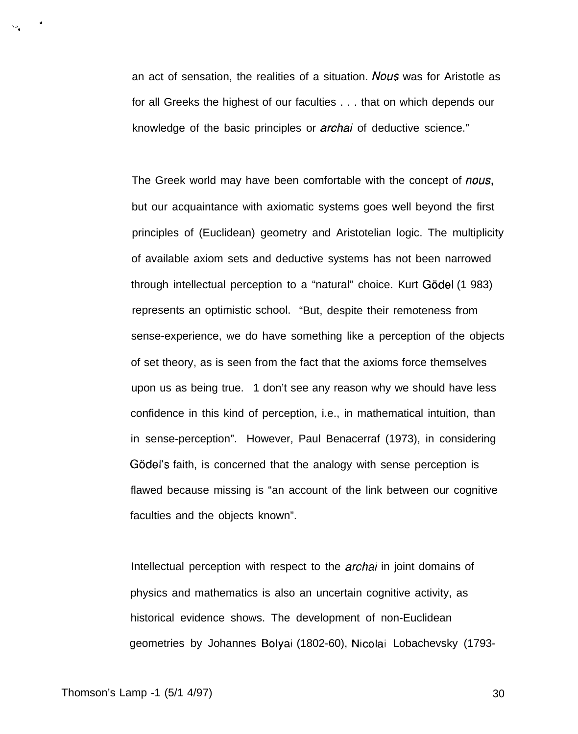an act of sensation, the realities of a situation. Nous was for Aristotle as for all Greeks the highest of our faculties . . . that on which depends our knowledge of the basic principles or archai of deductive science."

The Greek world may have been comfortable with the concept of nous, but our acquaintance with axiomatic systems goes well beyond the first principles of (Euclidean) geometry and Aristotelian logic. The multiplicity of available axiom sets and deductive systems has not been narrowed through intellectual perception to a "natural" choice. Kurt Gödel (1 983) represents an optimistic school. "But, despite their remoteness from sense-experience, we do have something like a perception of the objects of set theory, as is seen from the fact that the axioms force themselves upon us as being true. 1 don't see any reason why we should have less confidence in this kind of perception, i.e., in mathematical intuition, than in sense-perception". However, Paul Benacerraf (1973), in considering Gödel's faith, is concerned that the analogy with sense perception is flawed because missing is "an account of the link between our cognitive faculties and the objects known".

Intellectual perception with respect to the *archai* in joint domains of physics and mathematics is also an uncertain cognitive activity, as historical evidence shows. The development of non-Euclidean geometries by Johannes Bolyai (1802-60), Nicolai Lobachevsky (1793-

\*

,.., .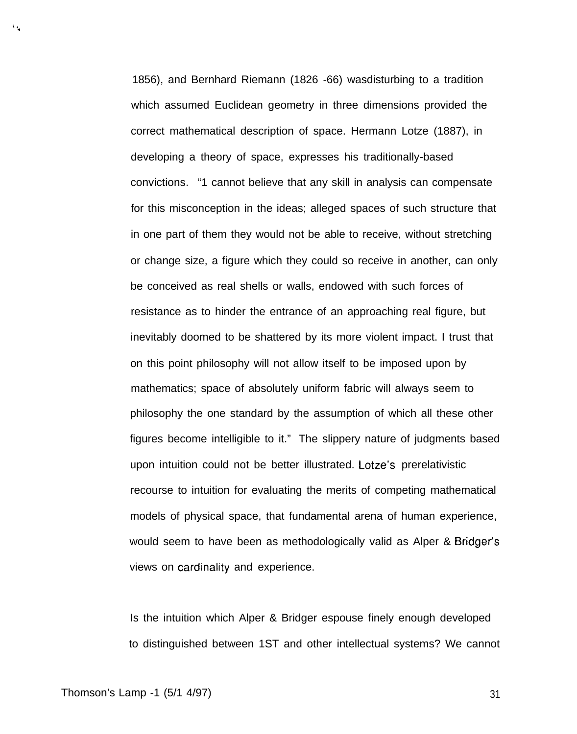1856), and Bernhard Riemann (1826 -66) wasdisturbing to a tradition which assumed Euclidean geometry in three dimensions provided the correct mathematical description of space. Hermann Lotze (1887), in developing a theory of space, expresses his traditionally-based convictions. "1 cannot believe that any skill in analysis can compensate for this misconception in the ideas; alleged spaces of such structure that in one part of them they would not be able to receive, without stretching or change size, a figure which they could so receive in another, can only be conceived as real shells or walls, endowed with such forces of resistance as to hinder the entrance of an approaching real figure, but inevitably doomed to be shattered by its more violent impact. I trust that on this point philosophy will not allow itself to be imposed upon by mathematics; space of absolutely uniform fabric will always seem to philosophy the one standard by the assumption of which all these other figures become intelligible to it." The slippery nature of judgments based upon intuition could not be better illustrated. Lotze's prerelativistic recourse to intuition for evaluating the merits of competing mathematical models of physical space, that fundamental arena of human experience, would seem to have been as methodologically valid as Alper & Bridger's views on cardinality and experience.

Is the intuition which Alper & Bridger espouse finely enough developed to distinguished between 1ST and other intellectual systems? We cannot

t, .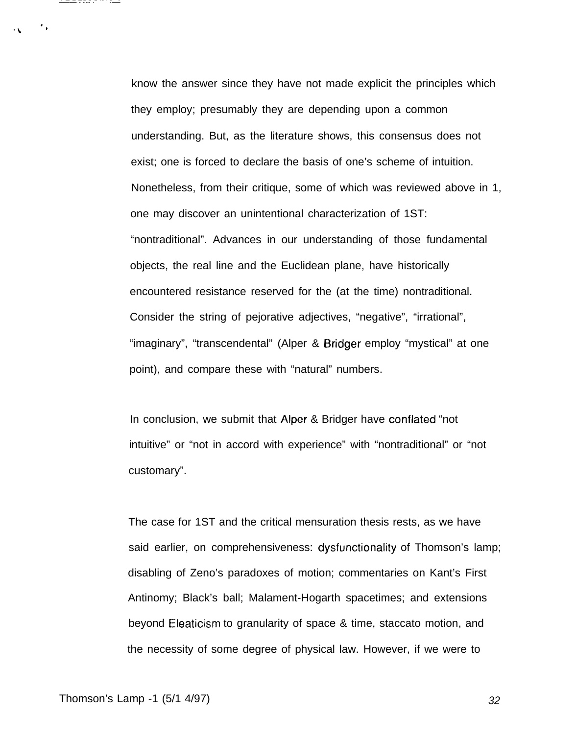know the answer since they have not made explicit the principles which they employ; presumably they are depending upon a common understanding. But, as the literature shows, this consensus does not exist; one is forced to declare the basis of one's scheme of intuition. Nonetheless, from their critique, some of which was reviewed above in 1, one may discover an unintentional characterization of 1ST: "nontraditional". Advances in our understanding of those fundamental objects, the real line and the Euclidean plane, have historically encountered resistance reserved for the (at the time) nontraditional. Consider the string of pejorative adjectives, "negative", "irrational", "imaginary", "transcendental" (Alper & Bridger employ "mystical" at one point), and compare these with "natural" numbers.

In conclusion, we submit that Alper & Bridger have conflated "not intuitive" or "not in accord with experience" with "nontraditional" or "not customary".

The case for 1ST and the critical mensuration thesis rests, as we have said earlier, on comprehensiveness: dysfunctionality of Thomson's lamp; disabling of Zeno's paradoxes of motion; commentaries on Kant's First Antinomy; Black's ball; Malament-Hogarth spacetimes; and extensions beyond Eleaticism to granularity of space & time, staccato motion, and the necessity of some degree of physical law. However, if we were to

Thomson's Lamp -1 (5/1 4/97) 32

 $\mathcal{F}_\mathbf{a}$ 

---------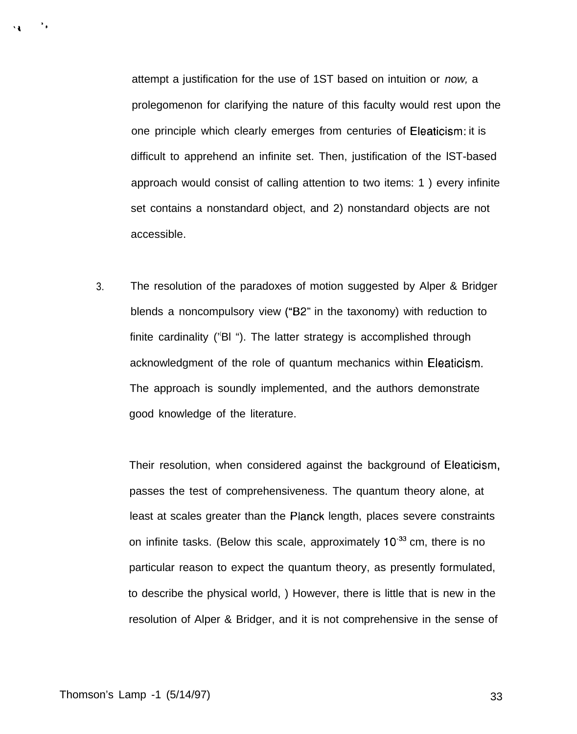attempt a justification for the use of 1ST based on intuition or now, a prolegomenon for clarifying the nature of this faculty would rest upon the one principle which clearly emerges from centuries of Eleaticism: it is difficult to apprehend an infinite set. Then, justification of the lST-based approach would consist of calling attention to two items: 1 ) every infinite set contains a nonstandard object, and 2) nonstandard objects are not accessible.

3. The resolution of the paradoxes of motion suggested by Alper & Bridger blends a noncompulsory view ("B2" in the taxonomy) with reduction to finite cardinality ( $\degree$ Bl  $\degree$ ). The latter strategy is accomplished through acknowledgment of the role of quantum mechanics within Eieaticism. The approach is soundly implemented, and the authors demonstrate good knowledge of the literature.

Their resolution, when considered against the background of Eleaticism, passes the test of comprehensiveness. The quantum theory alone, at least at scales greater than the Planck length, places severe constraints on infinite tasks. (Below this scale, approximately  $10^{-33}$  cm, there is no particular reason to expect the quantum theory, as presently formulated, to describe the physical world, ) However, there is little that is new in the resolution of Alper & Bridger, and it is not comprehensive in the sense of

 $^*$  .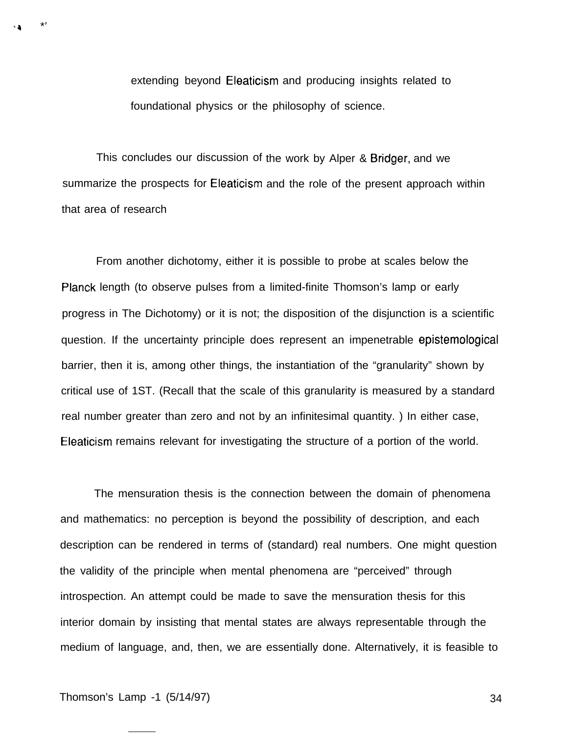extending beyond Eleaticism and producing insights related to foundational physics or the philosophy of science.

This concludes our discussion of the work by Alper & Bridger, and we summarize the prospects for Eleaticism and the role of the present approach within that area of research

From another dichotomy, either it is possible to probe at scales below the Planck length (to observe pulses from a limited-finite Thomson's lamp or early progress in The Dichotomy) or it is not; the disposition of the disjunction is a scientific question. If the uncertainty principle does represent an impenetrable epistemological barrier, then it is, among other things, the instantiation of the "granularity" shown by critical use of 1ST. (Recall that the scale of this granularity is measured by a standard real number greater than zero and not by an infinitesimal quantity. ) In either case, Eleaticism remains relevant for investigating the structure of a portion of the world.

The mensuration thesis is the connection between the domain of phenomena and mathematics: no perception is beyond the possibility of description, and each description can be rendered in terms of (standard) real numbers. One might question the validity of the principle when mental phenomena are "perceived" through introspection. An attempt could be made to save the mensuration thesis for this interior domain by insisting that mental states are always representable through the medium of language, and, then, we are essentially done. Alternatively, it is feasible to

'4 \*'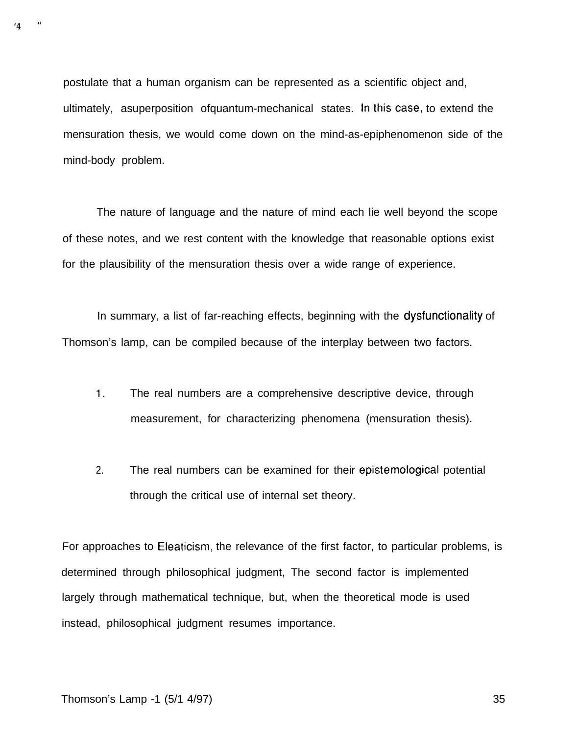postulate that a human organism can be represented as a scientific object and, ultimately, asuperposition of quantum-mechanical states. In this case, to extend the mensuration thesis, we would come down on the mind-as-epiphenomenon side of the mind-body problem.

The nature of language and the nature of mind each lie well beyond the scope of these notes, and we rest content with the knowledge that reasonable options exist for the plausibility of the mensuration thesis over a wide range of experience.

In summary, a list of far-reaching effects, beginning with the dysfunctionality of Thomson's lamp, can be compiled because of the interplay between two factors.

- 1. The real numbers are a comprehensive descriptive device, through measurement, for characterizing phenomena (mensuration thesis).
- 2. The real numbers can be examined for their epistemological potential through the critical use of internal set theory.

For approaches to Eleaticism, the relevance of the first factor, to particular problems, is determined through philosophical judgment, The second factor is implemented largely through mathematical technique, but, when the theoretical mode is used instead, philosophical judgment resumes importance.

**'4** "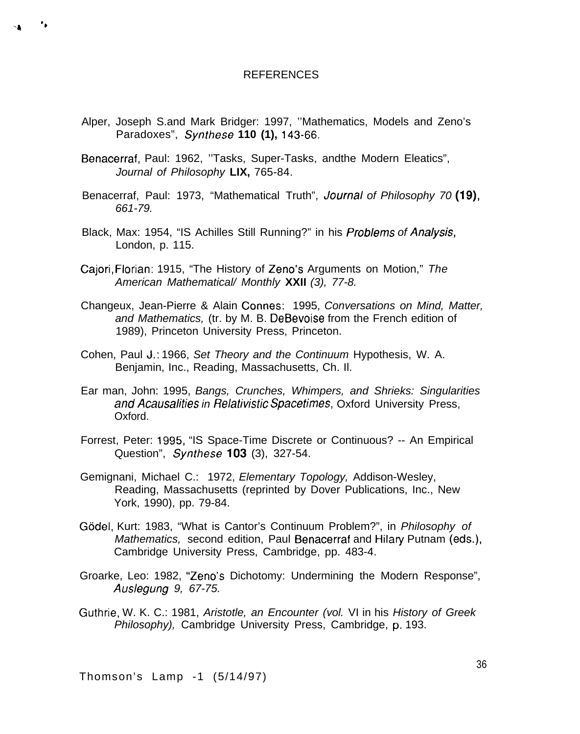### REFERENCES

- Alper, Joseph S.and Mark Bridger: 1997, ''Mathematics, Models and Zeno's Paradoxes", Synthese **110 (1),** 143-66.
- Benacerraf, Paul: 1962, ''Tasks, Super-Tasks, andthe Modern Eleatics", Journal of Philosophy **LIX,** 765-84.
- Benacerraf, Paul: 1973, "Mathematical Truth", Journal of Philosophy 70 (19), 661-79.
- Black, Max: 1954, "IS Achilles Still Running?" in his *Problems of Analysis*, London, p. 115.
- Cajori, Florian: 1915, "The History of Zeno's Arguments on Motion," The American Mathematical/ Monthly **XXII** (3), 77-8.
- Changeux, Jean-Pierre & Alain Connes: 1995, Conversations on Mind, Matter, and Mathematics, (tr. by M. B. DeBevoise from the French edition of 1989), Princeton University Press, Princeton.
- Cohen, Paul J.: 1966, Set Theory and the Continuum Hypothesis, W. A. Benjamin, Inc., Reading, Massachusetts, Ch. Il.
- Ear man, John: 1995, Bangs, Crunches, Whimpers, and Shrieks: Singularities and Acausalities in Relativistic Spacetimes, Oxford University Press, Oxford.
- Forrest, Peter: 1995, "IS Space-Time Discrete or Continuous? -- An Empirical Question", Synthese 103 (3), 327-54.
- Gemignani, Michael C.: 1972, Elementary Topology, Addison-Wesley, Reading, Massachusetts (reprinted by Dover Publications, Inc., New York, 1990), pp. 79-84.
- Gödel, Kurt: 1983, "What is Cantor's Continuum Problem?", in Philosophy of Mathematics, second edition, Paul Benacerraf and Hilary Putnam (eds.), Cambridge University Press, Cambridge, pp. 483-4.
- Groarke, Leo: 1982, "Zeno's Dichotomy: Undermining the Modern Response", Auslegung 9, 67-75.
- Guthrie, W. K. C.: 1981, Aristotle, an Encounter (vol. VI in his History of Greek Philosophy), Cambridge University Press, Cambridge, p, 193.

Thomson's Lamp -1 (5/14/97)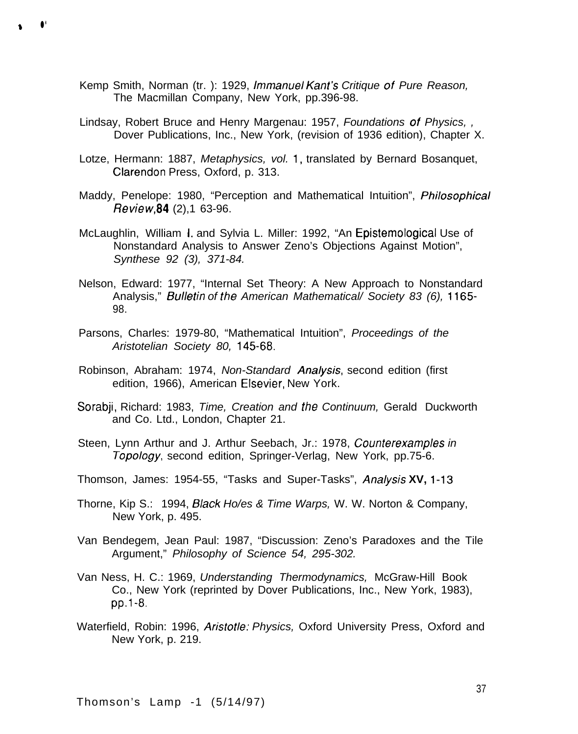Kemp Smith, Norman (tr. ): 1929, /mmanue/ Kant's Critique of Pure Reason, The Macmillan Company, New York, pp.396-98.

**9** ● **\***

- Lindsay, Robert Bruce and Henry Margenau: 1957, Foundations of Physics, , Dover Publications, Inc., New York, (revision of 1936 edition), Chapter X.
- Lotze, Hermann: 1887, Metaphysics, vol. 1, translated by Bernard Bosanquet, Clarendon Press, Oxford, p. 313.
- Maddy, Penelope: 1980, "Perception and Mathematical Intuition", *Philosophical* Review,84 (2),1 63-96.
- McLaughlin, William 1, and Sylvia L. Miller: 1992, "An Epistemological Use of Nonstandard Analysis to Answer Zeno's Objections Against Motion", Synthese 92 (3), 371-84.
- Nelson, Edward: 1977, "Internal Set Theory: A New Approach to Nonstandard Analysis," Bulletin of the American Mathematical/ Society 83 (6), 1165-98.
- Parsons, Charles: 1979-80, "Mathematical Intuition", Proceedings of the Aristotelian Society 80, 145-68.
- Robinson, Abraham: 1974, Non-Standard Ana/ysis, second edition (first edition, 1966), American Elsevier, New York.
- Sorabii, Richard: 1983, Time, Creation and the Continuum, Gerald Duckworth and Co. Ltd., London, Chapter 21.
- Steen, Lynn Arthur and J. Arthur Seebach, Jr.: 1978, Counterexamples in Topology, second edition, Springer-Verlag, New York, pp.75-6.
- Thomson, James: 1954-55, "Tasks and Super-Tasks", Ana/ysis **XV,** 1-13
- Thorne, Kip S.: 1994, B/ack Ho/es & Time Warps, W. W. Norton & Company, New York, p. 495.
- Van Bendegem, Jean Paul: 1987, "Discussion: Zeno's Paradoxes and the Tile Argument," Philosophy of Science 54, 295-302.
- Van Ness, H. C.: 1969, Understanding Thermodynamics, McGraw-Hill Book Co., New York (reprinted by Dover Publications, Inc., New York, 1983), pp.1-8.
- Waterfield, Robin: 1996, Aristotle: Physics, Oxford University Press, Oxford and New York, p. 219.

Thomson's Lamp -1 (5/14/97)